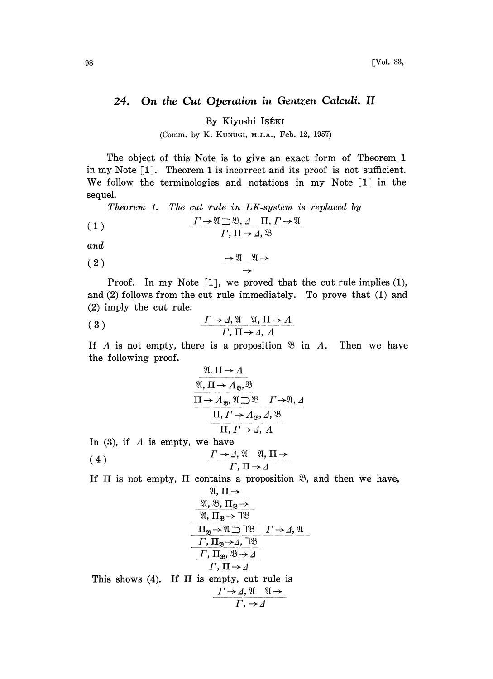## On the Cut Operation in Gentzen Calculi. II 24.

By Kiyoshi ISÉKI

(Comm. by K. KUNUGI, M.J.A., Feb. 12, 1957)

The object of this Note is to give an exact form of Theorem 1 in my Note  $[1]$ . Theorem 1 is incorrect and its proof is not sufficient. We follow the terminologies and notations in my Note  $[1]$  in the sequel.

Theorem 1. The cut rule in LK-system is replaced by

(1) 
$$
\frac{\Gamma \to \mathfrak{A} \supset \mathfrak{B}, \Delta \quad \Pi, \Gamma \to \mathfrak{A}}{\Gamma, \Pi \to \Delta, \mathfrak{B}}
$$

and

$$
\begin{array}{c}\n \stackrel{\bullet}{\longrightarrow} \mathfrak{A} \longrightarrow \\
 \stackrel{\bullet}{\longrightarrow} \\
 \end{array}
$$

Proof. In my Note  $[1]$ , we proved that the cut rule implies  $(1)$ , and (2) follows from the cut rule immediately. To prove that (1) and (2) imply the cut rule:

$$
(3) \qquad \qquad \frac{\Gamma \to \Lambda, \mathfrak{A} \quad \mathfrak{A}, \Pi \to \Lambda}{\Gamma, \Pi \to \Lambda, \Lambda}
$$

If A is not empty, there is a proposition  $\mathfrak{B}$  in A. Then we have the following proof.

$$
\frac{\mathfrak{A}, \Pi \rightarrow A}{\mathfrak{A}, \Pi \rightarrow A_{\mathfrak{B}}, \mathfrak{B}}
$$
\n
$$
\frac{\Pi \rightarrow A_{\mathfrak{B}}, \mathfrak{A} \supset \mathfrak{B} \quad \Gamma \rightarrow \mathfrak{A}, A}{\Pi, \Gamma \rightarrow A_{\mathfrak{B}}, A, \mathfrak{B}}
$$
\n
$$
\frac{\Pi, \Gamma \rightarrow A_{\mathfrak{B}}, A, \mathfrak{B}}{\Pi, \Gamma \rightarrow A, A}
$$

In (3), if  $\Lambda$  is empty, we have

(4) F, II-.4

If  $\Pi$  is not empty,  $\Pi$  contains a proposition  $\mathfrak{B}$ , and then we have,

$$
\frac{\mathfrak{A}, \Pi \rightarrow}{\mathfrak{A}, \mathfrak{B}, \Pi_{\mathfrak{B}} \rightarrow}
$$
\n
$$
\frac{\mathfrak{A}, \Pi_{\mathfrak{B}}}{\mathfrak{A}, \Pi_{\mathfrak{B}} \rightarrow \mathfrak{A}\mathfrak{B}}
$$
\n
$$
\frac{\Pi_{\mathfrak{B}} \rightarrow \mathfrak{A} \supset \mathfrak{B}}{\Gamma, \Pi_{\mathfrak{B}} \rightarrow \mathfrak{A}, \mathfrak{B}}
$$
\n
$$
\frac{\Gamma, \Pi_{\mathfrak{B}} \rightarrow \mathfrak{A}}{\Gamma, \Pi \rightarrow \mathfrak{A}}
$$
\nThis shows (4). If  $\Pi$  is empty, cut rule is\n
$$
\frac{\Gamma \rightarrow \mathfrak{A}, \mathfrak{A} \quad \mathfrak{A} \rightarrow}{\Gamma, \rightarrow \mathfrak{A}}
$$